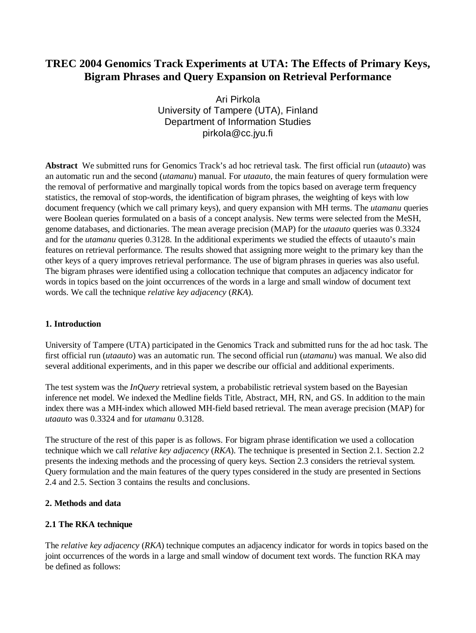# **TREC 2004 Genomics Track Experiments at UTA: The Effects of Primary Keys, Bigram Phrases and Query Expansion on Retrieval Performance**

Ari Pirkola University of Tampere (UTA), Finland Department of Information Studies [pirkola@cc.jyu.fi](mailto:pirkola@cc.jyu.fi)

**Abstract** We submitted runs for Genomics Track's ad hoc retrieval task. The first official run (*utaauto*) was an automatic run and the second (*utamanu*) manual. For *utaauto,* the main features of query formulation were the removal of performative and marginally topical words from the topics based on average term frequency statistics, the removal of stop-words, the identification of bigram phrases, the weighting of keys with low document frequency (which we call primary keys), and query expansion with MH terms. The *utamanu* queries were Boolean queries formulated on a basis of a concept analysis. New terms were selected from the MeSH, genome databases, and dictionaries. The mean average precision (MAP) for the *utaauto* queries was 0.3324 and for the *utamanu* queries 0.3128. In the additional experiments we studied the effects of utaauto's main features on retrieval performance. The results showed that assigning more weight to the primary key than the other keys of a query improves retrieval performance. The use of bigram phrases in queries was also useful. The bigram phrases were identified using a collocation technique that computes an adjacency indicator for words in topics based on the joint occurrences of the words in a large and small window of document text words. We call the technique *relative key adjacency* (*RKA*).

# **1. Introduction**

University of Tampere (UTA) participated in the Genomics Track and submitted runs for the ad hoc task. The first official run (*utaauto*) was an automatic run. The second official run (*utamanu*) was manual. We also did several additional experiments, and in this paper we describe our official and additional experiments.

The test system was the *InQuery* retrieval system, a probabilistic retrieval system based on the Bayesian inference net model. We indexed the Medline fields Title, Abstract, MH, RN, and GS. In addition to the main index there was a MH-index which allowed MH-field based retrieval. The mean average precision (MAP) for *utaauto* was 0.3324 and for *utamanu* 0.3128.

The structure of the rest of this paper is as follows. For bigram phrase identification we used a collocation technique which we call *relative key adjacency* (*RKA*). The technique is presented in Section 2.1. Section 2.2 presents the indexing methods and the processing of query keys. Section 2.3 considers the retrieval system. Query formulation and the main features of the query types considered in the study are presented in Sections 2.4 and 2.5. Section 3 contains the results and conclusions.

### **2. Methods and data**

# **2.1 The RKA technique**

The *relative key adjacency* (*RKA*) technique computes an adjacency indicator for words in topics based on the joint occurrences of the words in a large and small window of document text words. The function RKA may be defined as follows: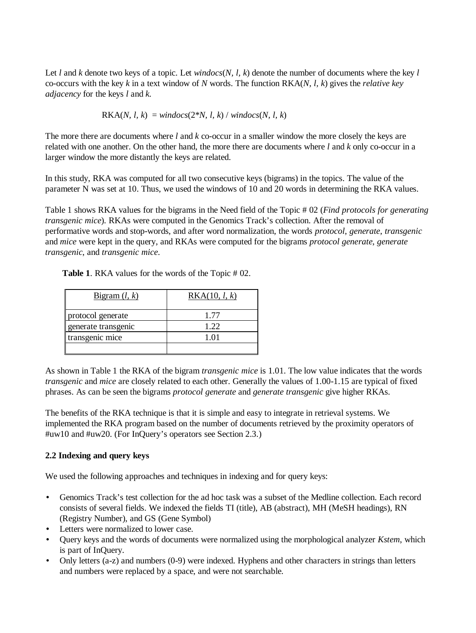Let *l* and *k* denote two keys of a topic. Let *windocs*(*N, l, k*) denote the number of documents where the key *l* co-occurs with the key *k* in a text window of *N* words. The function RKA(*N, l, k*) gives the *relative key adjacency* for the keys *l* and *k.*

 $RKA(N, l, k) = window(s(2*N, l, k) / window(s(N, l, k))$ 

The more there are documents where *l* and *k* co-occur in a smaller window the more closely the keys are related with one another. On the other hand, the more there are documents where *l* and *k* only co-occur in a larger window the more distantly the keys are related.

In this study, RKA was computed for all two consecutive keys (bigrams) in the topics. The value of the parameter N was set at 10. Thus, we used the windows of 10 and 20 words in determining the RKA values.

Table 1 shows RKA values for the bigrams in the Need field of the Topic # 02 (*Find protocols for generating transgenic mice*). RKAs were computed in the Genomics Track's collection. After the removal of performative words and stop-words, and after word normalization, the words *protocol*, *generate*, *transgenic* and *mice* were kept in the query, and RKAs were computed for the bigrams *protocol generate*, *generate transgenic*, and *transgenic mice*.

| Bigram $(l, k)$     | RKA(10, l, k) |
|---------------------|---------------|
| protocol generate   | 1.77          |
| generate transgenic | 1.22          |
| transgenic mice     | 1 01          |
|                     |               |

**Table 1**. RKA values for the words of the Topic # 02.

As shown in Table 1 the RKA of the bigram *transgenic mice* is 1.01. The low value indicates that the words *transgenic* and *mice* are closely related to each other. Generally the values of 1.00-1.15 are typical of fixed phrases. As can be seen the bigrams *protocol generate* and *generate transgenic* give higher RKAs.

The benefits of the RKA technique is that it is simple and easy to integrate in retrieval systems. We implemented the RKA program based on the number of documents retrieved by the proximity operators of #uw10 and #uw20. (For InQuery's operators see Section 2.3.)

### **2.2 Indexing and query keys**

We used the following approaches and techniques in indexing and for query keys:

- Genomics Track's test collection for the ad hoc task was a subset of the Medline collection. Each record consists of several fields. We indexed the fields TI (title), AB (abstract), MH (MeSH headings), RN (Registry Number), and GS (Gene Symbol)
- Letters were normalized to lower case.
- Query keys and the words of documents were normalized using the morphological analyzer *Kstem*, which is part of InQuery.
- Only letters (a-z) and numbers (0-9) were indexed. Hyphens and other characters in strings than letters and numbers were replaced by a space, and were not searchable.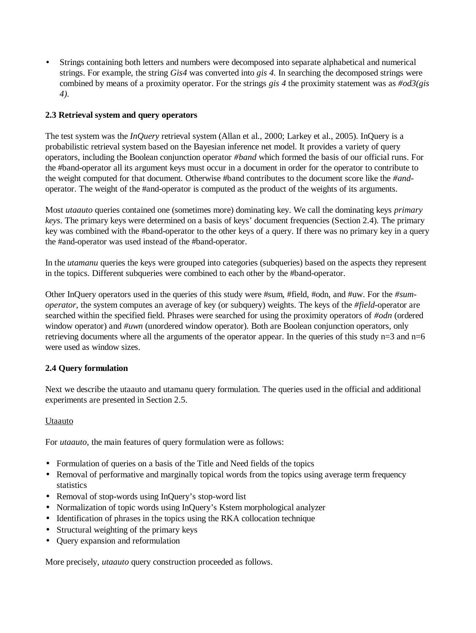• Strings containing both letters and numbers were decomposed into separate alphabetical and numerical strings. For example, the string *Gis4* was converted into *gis 4*. In searching the decomposed strings were combined by means of a proximity operator. For the strings *gis 4* the proximity statement was as *#od3(gis 4).*

# **2.3 Retrieval system and query operators**

The test system was the *InQuery* retrieval system (Allan et al., 2000; Larkey et al., 2005). InQuery is a probabilistic retrieval system based on the Bayesian inference net model. It provides a variety of query operators, including the Boolean conjunction operator *#band* which formed the basis of our official runs. For the #band-operator all its argument keys must occur in a document in order for the operator to contribute to the weight computed for that document. Otherwise #band contributes to the document score like the *#and*operator. The weight of the #and-operator is computed as the product of the weights of its arguments.

Most *utaauto* queries contained one (sometimes more) dominating key. We call the dominating keys *primary keys*. The primary keys were determined on a basis of keys' document frequencies (Section 2.4). The primary key was combined with the #band-operator to the other keys of a query. If there was no primary key in a query the #and-operator was used instead of the #band-operator.

In the *utamanu* queries the keys were grouped into categories (subqueries) based on the aspects they represent in the topics. Different subqueries were combined to each other by the #band-operator.

Other InQuery operators used in the queries of this study were #sum, #field, #odn, and #uw. For the *#sumoperator*, the system computes an average of key (or subquery) weights. The keys of the *#field*-operator are searched within the specified field. Phrases were searched for using the proximity operators of *#odn* (ordered window operator) and *#uwn* (unordered window operator). Both are Boolean conjunction operators, only retrieving documents where all the arguments of the operator appear. In the queries of this study  $n=3$  and  $n=6$ were used as window sizes.

# **2.4 Query formulation**

Next we describe the utaauto and utamanu query formulation. The queries used in the official and additional experiments are presented in Section 2.5.

# Utaauto

For *utaauto*, the main features of query formulation were as follows:

- Formulation of queries on a basis of the Title and Need fields of the topics
- Removal of performative and marginally topical words from the topics using average term frequency statistics
- Removal of stop-words using InQuery's stop-word list
- Normalization of topic words using InQuery's Kstem morphological analyzer
- Identification of phrases in the topics using the RKA collocation technique
- Structural weighting of the primary keys
- Query expansion and reformulation

More precisely, *utaauto* query construction proceeded as follows.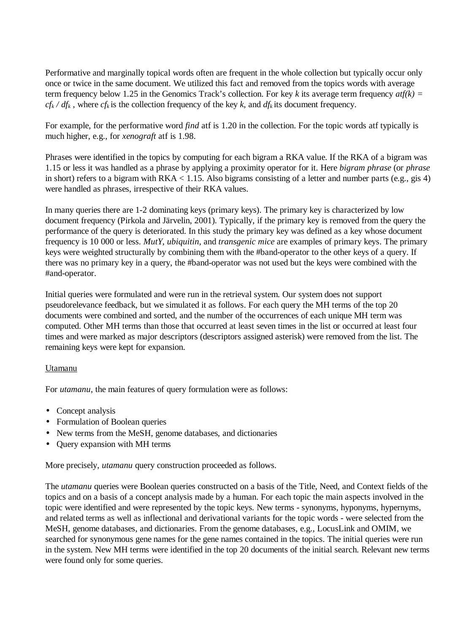Performative and marginally topical words often are frequent in the whole collection but typically occur only once or twice in the same document. We utilized this fact and removed from the topics words with average term frequency below 1.25 in the Genomics Track's collection. For key *k* its average term frequency *atf(k) =*  $cf_k$  /  $df_k$ , where  $cf_k$  is the collection frequency of the key *k*, and  $df_k$  its document frequency.

For example, for the performative word *find* at f is 1.20 in the collection. For the topic words at ftypically is much higher, e.g., for *xenograft* atf is 1.98.

Phrases were identified in the topics by computing for each bigram a RKA value. If the RKA of a bigram was 1.15 or less it was handled as a phrase by applying a proximity operator for it. Here *bigram phrase* (or *phrase* in short) refers to a bigram with  $RKA < 1.15$ . Also bigrams consisting of a letter and number parts (e.g., gis 4) were handled as phrases, irrespective of their RKA values.

In many queries there are 1-2 dominating keys (primary keys). The primary key is characterized by low document frequency (Pirkola and Järvelin, 2001). Typically, if the primary key is removed from the query the performance of the query is deteriorated. In this study the primary key was defined as a key whose document frequency is 10 000 or less. *MutY*, *ubiquitin*, and *transgenic mice* are examples of primary keys. The primary keys were weighted structurally by combining them with the #band-operator to the other keys of a query. If there was no primary key in a query, the #band-operator was not used but the keys were combined with the #and-operator.

Initial queries were formulated and were run in the retrieval system. Our system does not support pseudorelevance feedback, but we simulated it as follows. For each query the MH terms of the top 20 documents were combined and sorted, and the number of the occurrences of each unique MH term was computed. Other MH terms than those that occurred at least seven times in the list or occurred at least four times and were marked as major descriptors (descriptors assigned asterisk) were removed from the list. The remaining keys were kept for expansion.

### Utamanu

For *utamanu*, the main features of query formulation were as follows:

- Concept analysis
- Formulation of Boolean queries
- New terms from the MeSH, genome databases, and dictionaries
- Query expansion with MH terms

More precisely, *utamanu* query construction proceeded as follows.

The *utamanu* queries were Boolean queries constructed on a basis of the Title, Need, and Context fields of the topics and on a basis of a concept analysis made by a human. For each topic the main aspects involved in the topic were identified and were represented by the topic keys. New terms - synonyms, hyponyms, hypernyms, and related terms as well as inflectional and derivational variants for the topic words - were selected from the MeSH, genome databases, and dictionaries. From the genome databases, e.g., LocusLink and OMIM, we searched for synonymous gene names for the gene names contained in the topics. The initial queries were run in the system. New MH terms were identified in the top 20 documents of the initial search. Relevant new terms were found only for some queries.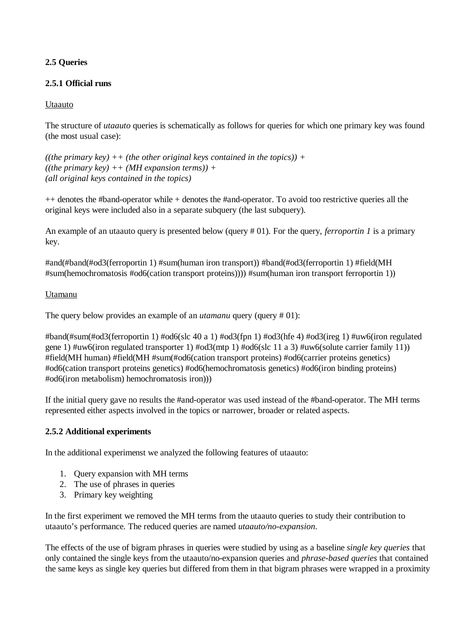# **2.5 Queries**

# **2.5.1 Official runs**

# Utaauto

The structure of *utaauto* queries is schematically as follows for queries for which one primary key was found (the most usual case):

```
((the primary key) ++ (the other original keys contained in the topics)) +
((the primary key) ++ (MH expansion terms)) +
(all original keys contained in the topics)
```
++ denotes the #band-operator while + denotes the #and-operator. To avoid too restrictive queries all the original keys were included also in a separate subquery (the last subquery).

An example of an utaauto query is presented below (query # 01). For the query, *ferroportin 1* is a primary key.

#and(#band(#od3(ferroportin 1) #sum(human iron transport)) #band(#od3(ferroportin 1) #field(MH #sum(hemochromatosis #od6(cation transport proteins)))) #sum(human iron transport ferroportin 1))

# Utamanu

The query below provides an example of an *utamanu* query (query # 01):

#band(#sum(#od3(ferroportin 1) #od6(slc 40 a 1) #od3(fpn 1) #od3(hfe 4) #od3(ireg 1) #uw6(iron regulated gene 1) #uw6(iron regulated transporter 1) #od3(mtp 1) #od6(slc 11 a 3) #uw6(solute carrier family 11)) #field(MH human) #field(MH #sum(#od6(cation transport proteins) #od6(carrier proteins genetics) #od6(cation transport proteins genetics) #od6(hemochromatosis genetics) #od6(iron binding proteins) #od6(iron metabolism) hemochromatosis iron)))

If the initial query gave no results the #and-operator was used instead of the #band-operator. The MH terms represented either aspects involved in the topics or narrower, broader or related aspects.

# **2.5.2 Additional experiments**

In the additional experimenst we analyzed the following features of utaauto:

- 1. Query expansion with MH terms
- 2. The use of phrases in queries
- 3. Primary key weighting

In the first experiment we removed the MH terms from the utaauto queries to study their contribution to utaauto's performance. The reduced queries are named *utaauto/no-expansion*.

The effects of the use of bigram phrases in queries were studied by using as a baseline *single key queries* that only contained the single keys from the utaauto/no-expansion queries and *phrase-based queries* that contained the same keys as single key queries but differed from them in that bigram phrases were wrapped in a proximity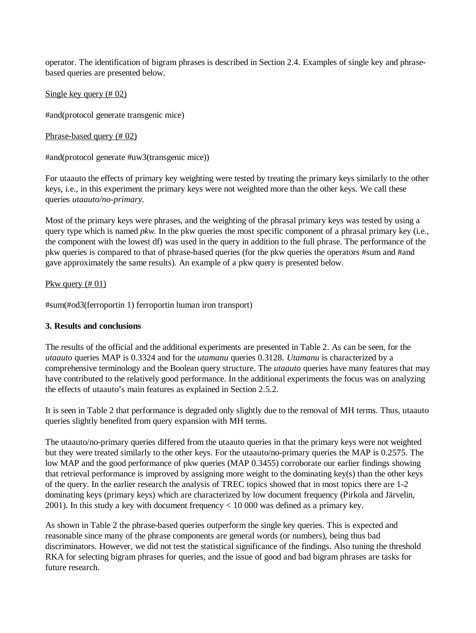operator. The identification of bigram phrases is described in Section 2.4. Examples of single key and phrasebased queries are presented below.

### Single key query (# 02)

#and(protocol generate transgenic mice)

### Phrase-based query (# 02)

#and(protocol generate #uw3(transgenic mice))

For utaauto the effects of primary key weighting were tested by treating the primary keys similarly to the other keys, i.e., in this experiment the primary keys were not weighted more than the other keys. We call these queries *utaauto/no-primary*.

Most of the primary keys were phrases, and the weighting of the phrasal primary keys was tested by using a query type which is named *pkw*. In the pkw queries the most specific component of a phrasal primary key (i.e., the component with the lowest df) was used in the query in addition to the full phrase. The performance of the pkw queries is compared to that of phrase-based queries (for the pkw queries the operators #sum and #and gave approximately the same results). An example of a pkw query is presented below.

### Pkw query (# 01)

#sum(#od3(ferroportin 1) ferroportin human iron transport)

### **3. Results and conclusions**

The results of the official and the additional experiments are presented in Table 2. As can be seen, for the *utaauto* queries MAP is 0.3324 and for the *utamanu* queries 0.3128. *Utamanu* is characterized by a comprehensive terminology and the Boolean query structure. The *utaauto* queries have many features that may have contributed to the relatively good performance. In the additional experiments the focus was on analyzing the effects of utaauto's main features as explained in Section 2.5.2.

It is seen in Table 2 that performance is degraded only slightly due to the removal of MH terms. Thus, utaauto queries slightly benefited from query expansion with MH terms.

The utaauto/no-primary queries differed from the utaauto queries in that the primary keys were not weighted but they were treated similarly to the other keys. For the utaauto/no-primary queries the MAP is 0.2575. The low MAP and the good performance of pkw queries (MAP 0.3455) corroborate our earlier findings showing that retrieval performance is improved by assigning more weight to the dominating key(s) than the other keys of the query. In the earlier research the analysis of TREC topics showed that in most topics there are 1-2 dominating keys (primary keys) which are characterized by low document frequency (Pirkola and Järvelin, 2001). In this study a key with document frequency < 10 000 was defined as a primary key.

As shown in Table 2 the phrase-based queries outperform the single key queries. This is expected and reasonable since many of the phrase components are general words (or numbers), being thus bad discriminators. However, we did not test the statistical significance of the findings. Also tuning the threshold RKA for selecting bigram phrases for queries, and the issue of good and bad bigram phrases are tasks for future research.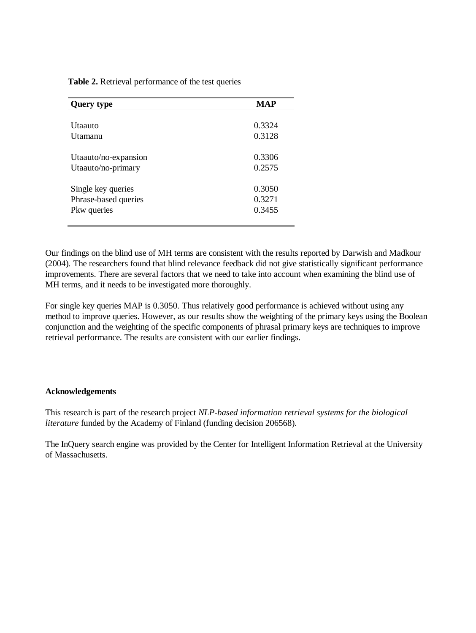**Table 2.** Retrieval performance of the test queries

| <b>Query type</b>    | <b>MAP</b> |
|----------------------|------------|
|                      |            |
| Utaauto              | 0.3324     |
| Utamanu              | 0.3128     |
|                      |            |
| Utaauto/no-expansion | 0.3306     |
| Utaauto/no-primary   | 0.2575     |
|                      |            |
| Single key queries   | 0.3050     |
| Phrase-based queries | 0.3271     |
| Pkw queries          | 0.3455     |
|                      |            |

Our findings on the blind use of MH terms are consistent with the results reported by Darwish and Madkour (2004). The researchers found that blind relevance feedback did not give statistically significant performance improvements. There are several factors that we need to take into account when examining the blind use of MH terms, and it needs to be investigated more thoroughly.

For single key queries MAP is 0.3050. Thus relatively good performance is achieved without using any method to improve queries. However, as our results show the weighting of the primary keys using the Boolean conjunction and the weighting of the specific components of phrasal primary keys are techniques to improve retrieval performance. The results are consistent with our earlier findings.

### **Acknowledgements**

This research is part of the research project *NLP-based information retrieval systems for the biological literature* funded by the Academy of Finland (funding decision 206568).

The InQuery search engine was provided by the Center for Intelligent Information Retrieval at the University of Massachusetts.